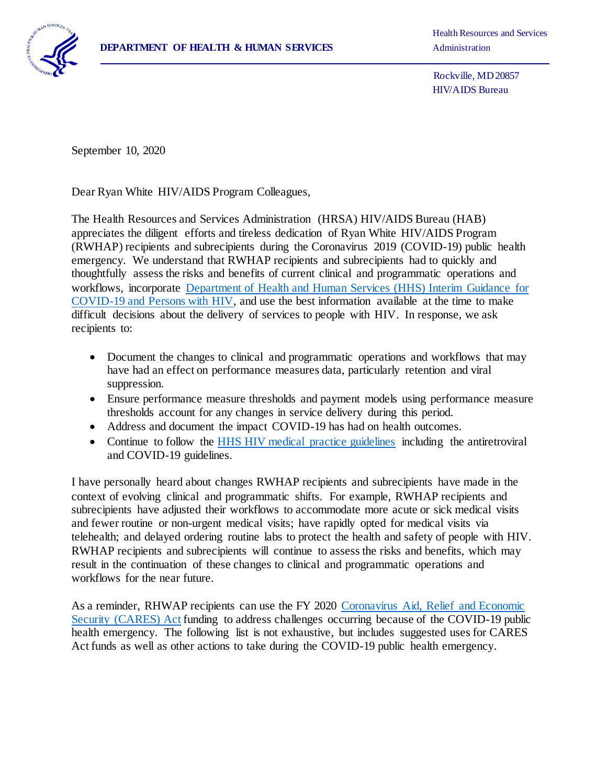

Health Resources and Services

 Rockville, MD 20857 HIV/AIDS Bureau

September 10, 2020

 $\overline{a}$ 

Dear Ryan White HIV/AIDS Program Colleagues,

The Health Resources and Services Administration (HRSA) HIV/AIDS Bureau (HAB) appreciates the diligent efforts and tireless dedication of Ryan White HIV/AIDS Program (RWHAP) recipients and subrecipients during the Coronavirus 2019 (COVID-19) public health emergency. We understand that RWHAP recipients and subrecipients had to quickly and thoughtfully assess the risks and benefits of current clinical and programmatic operations and workflows, incorporate [Department of Health and Human Services \(HHS\) Interim Guidance for](https://aidsinfo.nih.gov/guidelines/html/8/covid-19-and-persons-with-hiv--interim-guidance-/0)  [COVID-19 and Persons with HIV,](https://aidsinfo.nih.gov/guidelines/html/8/covid-19-and-persons-with-hiv--interim-guidance-/0) and use the best information available at the time to make difficult decisions about the delivery of services to people with HIV. In response, we ask recipients to:

- Document the changes to clinical and programmatic operations and workflows that may have had an effect on performance measures data, particularly retention and viral suppression.
- Ensure performance measure thresholds and payment models using performance measure thresholds account for any changes in service delivery during this period.
- Address and document the impact COVID-19 has had on health outcomes.
- Continue to follow the HHS [HIV medical practice guidelines](https://aidsinfo.nih.gov/guidelines) including the antiretroviral and COVID-19 guidelines.

I have personally heard about changes RWHAP recipients and subrecipients have made in the context of evolving clinical and programmatic shifts. For example, RWHAP recipients and subrecipients have adjusted their workflows to accommodate more acute or sick medical visits and fewer routine or non-urgent medical visits; have rapidly opted for medical visits via telehealth; and delayed ordering routine labs to protect the health and safety of people with HIV. RWHAP recipients and subrecipients will continue to assess the risks and benefits, which may result in the continuation of these changes to clinical and programmatic operations and workflows for the near future.

As a reminder, RHWAP recipients can use the FY 2020 [Coronavirus Aid, Relief and Economic](https://hab.hrsa.gov/coronavirus)  Security [\(CARES\) Act](https://hab.hrsa.gov/coronavirus) funding to address challenges occurring because of the COVID-19 public health emergency. The following list is not exhaustive, but includes suggested uses for CARES Act funds as well as other actions to take during the COVID-19 public health emergency.